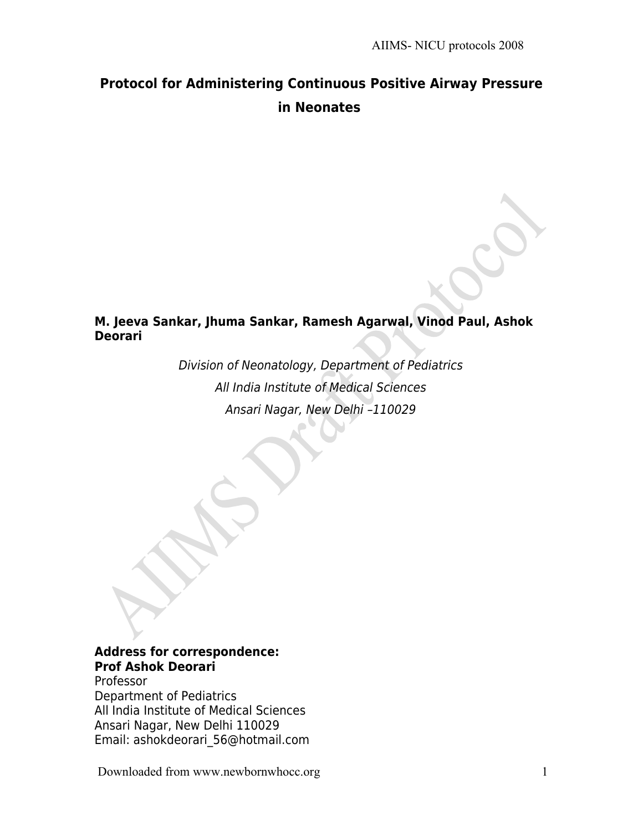# **Protocol for Administering Continuous Positive Airway Pressure in Neonates**

### **M. Jeeva Sankar, Jhuma Sankar, Ramesh Agarwal, Vinod Paul, Ashok Deorari**

Division of Neonatology, Department of Pediatrics All India Institute of Medical Sciences Ansari Nagar, New Delhi –110029

#### **Address for correspondence: Prof Ashok Deorari**

Professor Department of Pediatrics All India Institute of Medical Sciences Ansari Nagar, New Delhi 110029 Email: ashokdeorari\_56@hotmail.com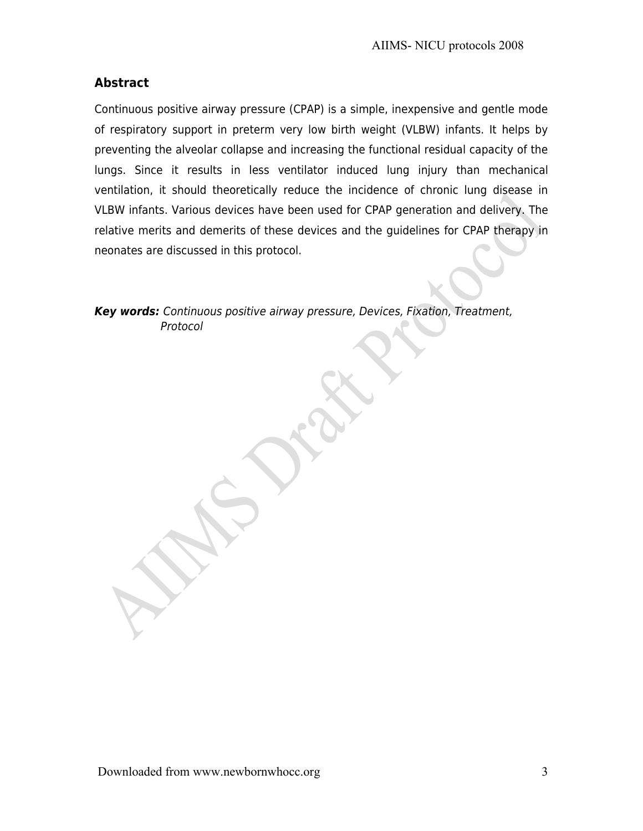### **Abstract**

Continuous positive airway pressure (CPAP) is a simple, inexpensive and gentle mode of respiratory support in preterm very low birth weight (VLBW) infants. It helps by preventing the alveolar collapse and increasing the functional residual capacity of the lungs. Since it results in less ventilator induced lung injury than mechanical ventilation, it should theoretically reduce the incidence of chronic lung disease in VLBW infants. Various devices have been used for CPAP generation and delivery. The relative merits and demerits of these devices and the guidelines for CPAP therapy in neonates are discussed in this protocol.

**Key words:** Continuous positive airway pressure, Devices, Fixation, Treatment, Protocol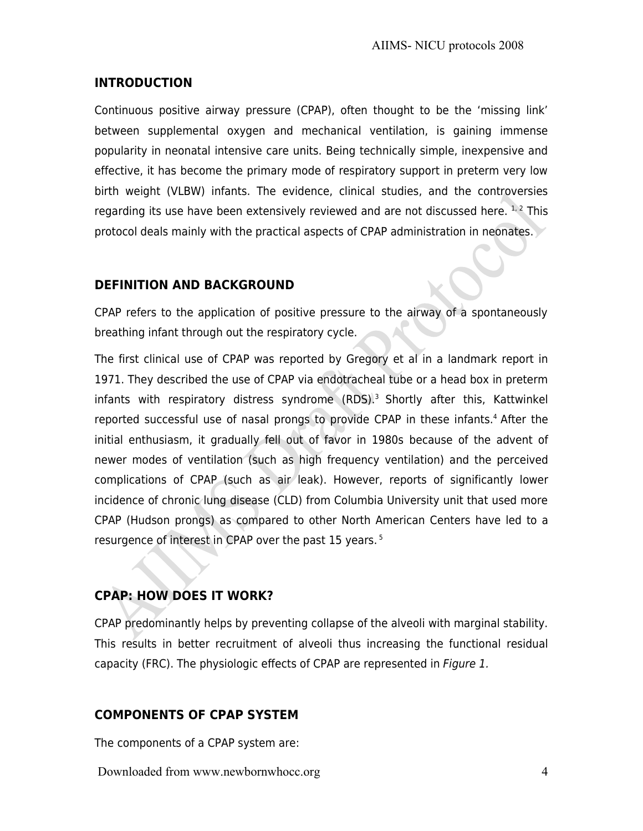#### **INTRODUCTION**

Continuous positive airway pressure (CPAP), often thought to be the 'missing link' between supplemental oxygen and mechanical ventilation, is gaining immense popularity in neonatal intensive care units. Being technically simple, inexpensive and effective, it has become the primary mode of respiratory support in preterm very low birth weight (VLBW) infants. The evidence, clinical studies, and the controversies regarding its use have been extensively reviewed and are not discussed here.  $1, 2$  This protocol deals mainly with the practical aspects of CPAP administration in neonates.

#### **DEFINITION AND BACKGROUND**

CPAP refers to the application of positive pressure to the airway of a spontaneously breathing infant through out the respiratory cycle.

The first clinical use of CPAP was reported by Gregory et al in a landmark report in 1971. They described the use of CPAP via endotracheal tube or a head box in preterm infants with respiratory distress syndrome  $(RDS)^3$  Shortly after this, Kattwinkel reported successful use of nasal prongs to provide CPAP in these infants.<sup>4</sup> After the initial enthusiasm, it gradually fell out of favor in 1980s because of the advent of newer modes of ventilation (such as high frequency ventilation) and the perceived complications of CPAP (such as air leak). However, reports of significantly lower incidence of chronic lung disease (CLD) from Columbia University unit that used more CPAP (Hudson prongs) as compared to other North American Centers have led to a resurgence of interest in CPAP over the past 15 years.<sup>5</sup>

### **CPAP: HOW DOES IT WORK?**

CPAP predominantly helps by preventing collapse of the alveoli with marginal stability. This results in better recruitment of alveoli thus increasing the functional residual capacity (FRC). The physiologic effects of CPAP are represented in Figure 1.

### **COMPONENTS OF CPAP SYSTEM**

The components of a CPAP system are: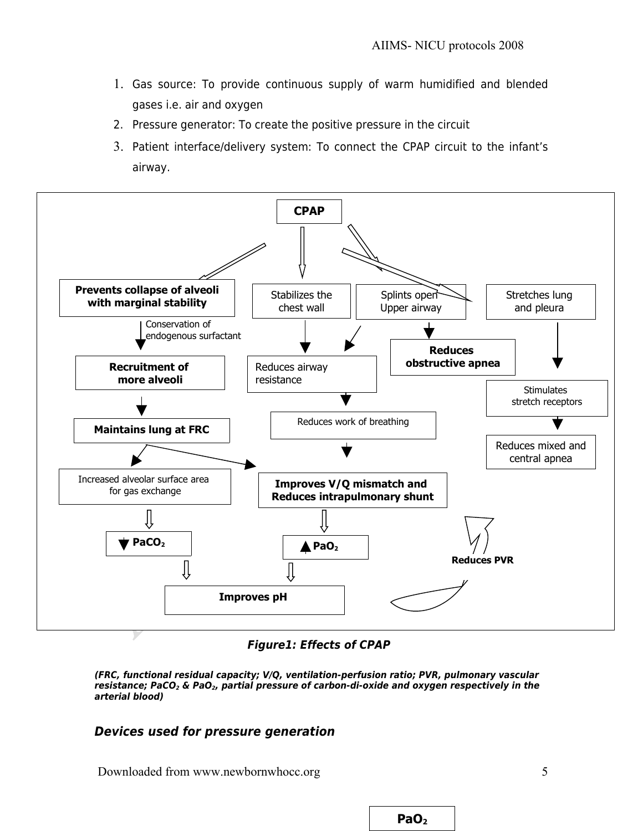- 1. Gas source: To provide continuous supply of warm humidified and blended gases i.e. air and oxygen
- 2. Pressure generator: To create the positive pressure in the circuit
- 3. Patient interface/delivery system: To connect the CPAP circuit to the infant's airway.



**Figure1: Effects of CPAP** 

**(FRC, functional residual capacity; V/Q, ventilation-perfusion ratio; PVR, pulmonary vascular resistance; PaCO2 & PaO2, partial pressure of carbon-di-oxide and oxygen respectively in the arterial blood)**

#### **Devices used for pressure generation**

Downloaded from www.newbornwhocc.org 5

**PaO<sup>2</sup>**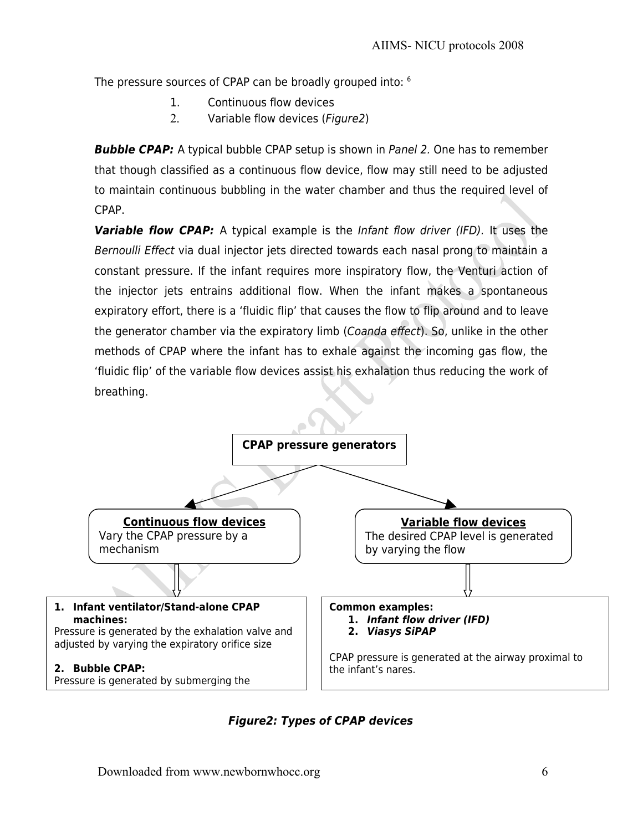The pressure sources of CPAP can be broadly grouped into: <sup>6</sup>

- 1. Continuous flow devices
- 2. Variable flow devices (Figure2)

**Bubble CPAP:** A typical bubble CPAP setup is shown in Panel 2. One has to remember that though classified as a continuous flow device, flow may still need to be adjusted to maintain continuous bubbling in the water chamber and thus the required level of CPAP.

**Variable flow CPAP:** A typical example is the Infant flow driver (IFD). It uses the Bernoulli Effect via dual injector jets directed towards each nasal prong to maintain a constant pressure. If the infant requires more inspiratory flow, the Venturi action of the injector jets entrains additional flow. When the infant makes a spontaneous expiratory effort, there is a 'fluidic flip' that causes the flow to flip around and to leave the generator chamber via the expiratory limb (Coanda effect). So, unlike in the other methods of CPAP where the infant has to exhale against the incoming gas flow, the 'fluidic flip' of the variable flow devices assist his exhalation thus reducing the work of breathing.



**Figure2: Types of CPAP devices**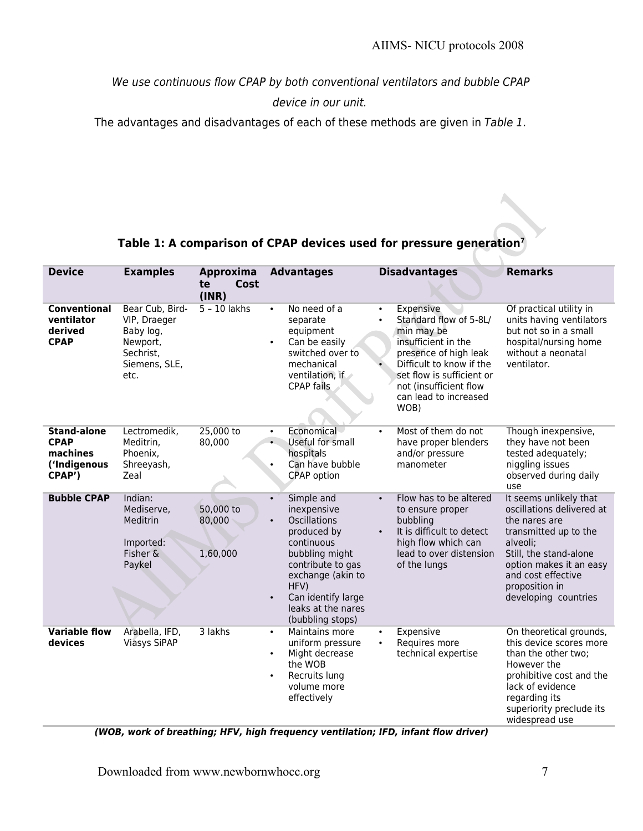We use continuous flow CPAP by both conventional ventilators and bubble CPAP

device in our unit.

The advantages and disadvantages of each of these methods are given in Table 1.

### **Table 1: A comparison of CPAP devices used for pressure generation<sup>7</sup>**

| <b>Device</b>                                                           | <b>Examples</b>                                                                                | Approxima<br>Cost<br>te<br>(INR) | <b>Advantages</b>                                                                                                                                                                                                                    | <b>Disadvantages</b>                                                                                                                                                                                                                            | <b>Remarks</b>                                                                                                                                                                                                                 |
|-------------------------------------------------------------------------|------------------------------------------------------------------------------------------------|----------------------------------|--------------------------------------------------------------------------------------------------------------------------------------------------------------------------------------------------------------------------------------|-------------------------------------------------------------------------------------------------------------------------------------------------------------------------------------------------------------------------------------------------|--------------------------------------------------------------------------------------------------------------------------------------------------------------------------------------------------------------------------------|
| <b>Conventional</b><br>ventilator<br>derived<br><b>CPAP</b>             | Bear Cub, Bird-<br>VIP, Draeger<br>Baby log,<br>Newport,<br>Sechrist,<br>Siemens, SLE,<br>etc. | $5 - 10$ lakhs                   | No need of a<br>$\bullet$<br>separate<br>equipment<br>Can be easily<br>switched over to<br>mechanical<br>ventilation, if<br><b>CPAP</b> fails                                                                                        | Expensive<br>$\bullet$<br>Standard flow of 5-8L/<br>$\bullet$<br>min may be<br>insufficient in the<br>presence of high leak<br>Difficult to know if the<br>set flow is sufficient or<br>not (insufficient flow<br>can lead to increased<br>WOB) | Of practical utility in<br>units having ventilators<br>but not so in a small<br>hospital/nursing home<br>without a neonatal<br>ventilator.                                                                                     |
| <b>Stand-alone</b><br><b>CPAP</b><br>machines<br>('Indigenous<br>CPAP') | Lectromedik,<br>Meditrin,<br>Phoenix.<br>Shreeyash,<br>Zeal                                    | 25,000 to<br>80,000              | Economical<br>$\bullet$<br>Useful for small<br>$\bullet$<br>hospitals<br>Can have bubble<br>$\bullet$<br>CPAP option                                                                                                                 | Most of them do not<br>$\bullet$<br>have proper blenders<br>and/or pressure<br>manometer                                                                                                                                                        | Though inexpensive,<br>they have not been<br>tested adequately;<br>niggling issues<br>observed during daily<br>use                                                                                                             |
| <b>Bubble CPAP</b>                                                      | Indian:<br>Mediserve,<br>Meditrin<br>Imported:<br>Fisher &<br>Paykel                           | 50,000 to<br>80,000<br>1,60,000  | Simple and<br>$\bullet$<br>inexpensive<br>Oscillations<br>$\bullet$<br>produced by<br>continuous<br>bubbling might<br>contribute to gas<br>exchange (akin to<br>HFV)<br>Can identify large<br>leaks at the nares<br>(bubbling stops) | Flow has to be altered<br>$\bullet$<br>to ensure proper<br>bubbling<br>It is difficult to detect<br>$\bullet$<br>high flow which can<br>lead to over distension<br>of the lungs                                                                 | It seems unlikely that<br>oscillations delivered at<br>the nares are<br>transmitted up to the<br>alveoli;<br>Still, the stand-alone<br>option makes it an easy<br>and cost effective<br>proposition in<br>developing countries |
| <b>Variable flow</b><br>devices                                         | Arabella, IFD,<br><b>Viasys SiPAP</b>                                                          | 3 lakhs                          | Maintains more<br>$\bullet$<br>uniform pressure<br>Might decrease<br>$\bullet$<br>the WOB<br>Recruits lung<br>$\bullet$<br>volume more<br>effectively                                                                                | Expensive<br>$\bullet$<br>Requires more<br>$\bullet$<br>technical expertise                                                                                                                                                                     | On theoretical grounds,<br>this device scores more<br>than the other two;<br>However the<br>prohibitive cost and the<br>lack of evidence<br>regarding its<br>superiority preclude its<br>widespread use                        |

**(WOB, work of breathing; HFV, high frequency ventilation; IFD, infant flow driver)**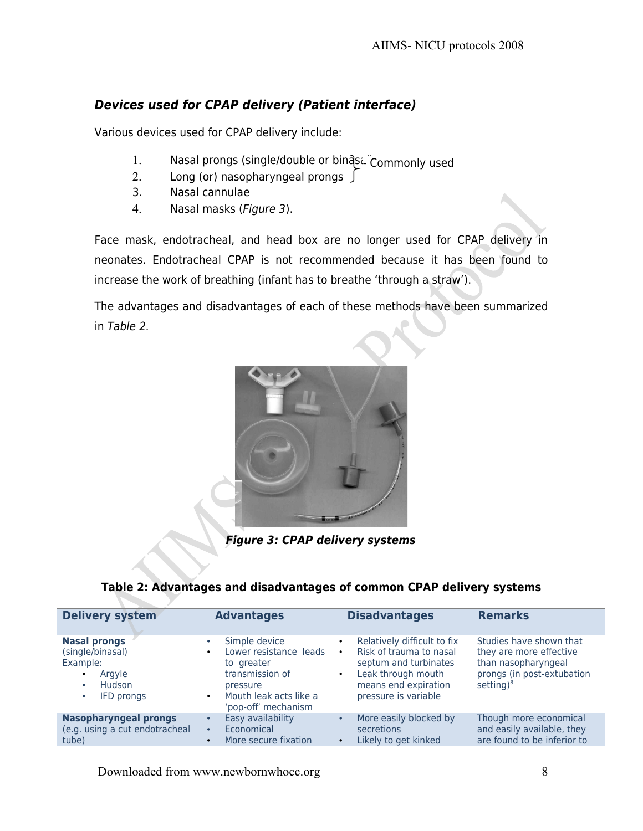### **Devices used for CPAP delivery (Patient interface)**

Various devices used for CPAP delivery include:

- 1. Nasal prongs (single/double or binas. Commonly used
- 2. Long (or) nasopharyngeal prongs  $\int$
- 3. Nasal cannulae
- 4. Nasal masks (Figure 3).

Face mask, endotracheal, and head box are no longer used for CPAP delivery in neonates. Endotracheal CPAP is not recommended because it has been found to increase the work of breathing (infant has to breathe 'through a straw').

The advantages and disadvantages of each of these methods have been summarized in Table 2.



**Figure 3: CPAP delivery systems**

#### **Table 2: Advantages and disadvantages of common CPAP delivery systems**

| <b>Delivery system</b>                                                                                                              | <b>Advantages</b>                                                                                                                                                            | <b>Disadvantages</b>                                                                                                                                                                         | <b>Remarks</b>                                                                                                          |
|-------------------------------------------------------------------------------------------------------------------------------------|------------------------------------------------------------------------------------------------------------------------------------------------------------------------------|----------------------------------------------------------------------------------------------------------------------------------------------------------------------------------------------|-------------------------------------------------------------------------------------------------------------------------|
| <b>Nasal prongs</b><br>(single/binasal)<br>Example:<br>Argyle<br>$\bullet$<br><b>Hudson</b><br>$\bullet$<br>IFD prongs<br>$\bullet$ | Simple device<br>$\bullet$<br>Lower resistance leads<br>$\bullet$<br>to greater<br>transmission of<br>pressure<br>Mouth leak acts like a<br>$\bullet$<br>'pop-off' mechanism | Relatively difficult to fix<br>$\bullet$<br>Risk of trauma to nasal<br>$\bullet$<br>septum and turbinates<br>Leak through mouth<br>$\bullet$<br>means end expiration<br>pressure is variable | Studies have shown that<br>they are more effective<br>than nasopharyngeal<br>prongs (in post-extubation<br>setting) $8$ |
| <b>Nasopharyngeal prongs</b><br>(e.g. using a cut endotracheal<br>tube)                                                             | Easy availability<br>$\bullet$<br>Economical<br>$\bullet$<br>More secure fixation<br>$\bullet$                                                                               | More easily blocked by<br>$\bullet$<br>secretions<br>Likely to get kinked<br>$\bullet$                                                                                                       | Though more economical<br>and easily available, they<br>are found to be inferior to                                     |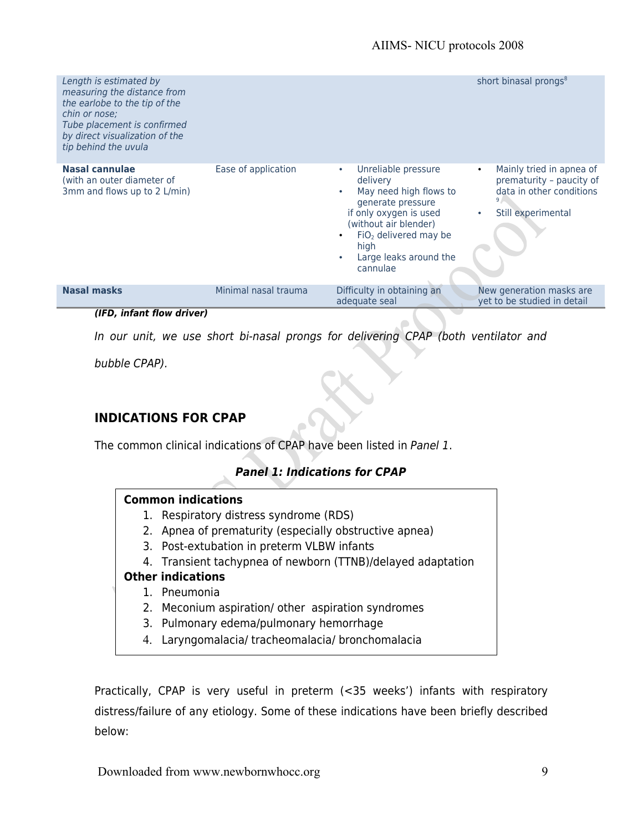| Length is estimated by<br>measuring the distance from<br>the earlobe to the tip of the<br>chin or nose:<br>Tube placement is confirmed<br>by direct visualization of the<br>tip behind the uvula |                      |                                                                                                                                                                                                                                                   | short binasal prongs <sup>8</sup>                                                                                                |
|--------------------------------------------------------------------------------------------------------------------------------------------------------------------------------------------------|----------------------|---------------------------------------------------------------------------------------------------------------------------------------------------------------------------------------------------------------------------------------------------|----------------------------------------------------------------------------------------------------------------------------------|
| Nasal cannulae<br>(with an outer diameter of<br>3mm and flows up to 2 L/min)                                                                                                                     | Ease of application  | Unreliable pressure<br>$\bullet$<br>delivery<br>May need high flows to<br>$\bullet$<br>generate pressure<br>if only oxygen is used<br>(without air blender)<br>$FiO2$ delivered may be<br>high<br>Large leaks around the<br>$\bullet$<br>cannulae | Mainly tried in apnea of<br>$\bullet$<br>prematurity - paucity of<br>data in other conditions<br>Still experimental<br>$\bullet$ |
| <b>Nasal masks</b>                                                                                                                                                                               | Minimal nasal trauma | Difficulty in obtaining an<br>adequate seal                                                                                                                                                                                                       | New generation masks are<br>yet to be studied in detail                                                                          |

#### **(IFD, infant flow driver)**

In our unit, we use short bi-nasal prongs for delivering CPAP (both ventilator and

bubble CPAP).

#### **INDICATIONS FOR CPAP**

The common clinical indications of CPAP have been listed in Panel 1.

#### **Panel 1: Indications for CPAP**

#### **Common indications**

- 1. Respiratory distress syndrome (RDS)
- 2. Apnea of prematurity (especially obstructive apnea)
- 3. Post-extubation in preterm VLBW infants
- 4. Transient tachypnea of newborn (TTNB)/delayed adaptation

#### **Other indications**

- 1. Pneumonia
- 2. Meconium aspiration/ other aspiration syndromes
- 3. Pulmonary edema/pulmonary hemorrhage
- 4. Laryngomalacia/ tracheomalacia/ bronchomalacia

Practically, CPAP is very useful in preterm (<35 weeks') infants with respiratory distress/failure of any etiology. Some of these indications have been briefly described below: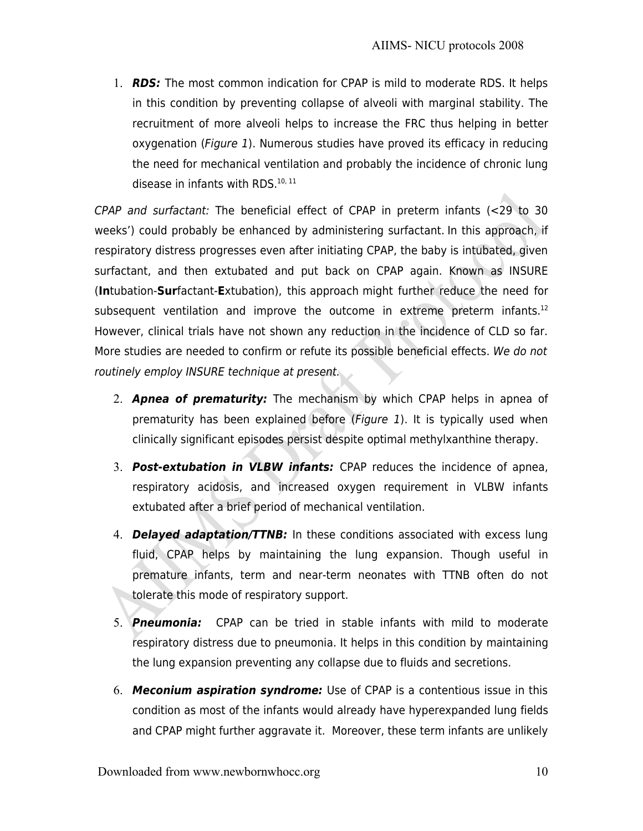1. **RDS:** The most common indication for CPAP is mild to moderate RDS. It helps in this condition by preventing collapse of alveoli with marginal stability. The recruitment of more alveoli helps to increase the FRC thus helping in better oxygenation (Figure 1). Numerous studies have proved its efficacy in reducing the need for mechanical ventilation and probably the incidence of chronic lung disease in infants with RDS.<sup>10, 11</sup>

CPAP and surfactant: The beneficial effect of CPAP in preterm infants (<29 to 30 weeks') could probably be enhanced by administering surfactant. In this approach, if respiratory distress progresses even after initiating CPAP, the baby is intubated, given surfactant, and then extubated and put back on CPAP again. Known as INSURE (**In**tubation-**Sur**factant-**E**xtubation), this approach might further reduce the need for subsequent ventilation and improve the outcome in extreme preterm infants. $12$ However, clinical trials have not shown any reduction in the incidence of CLD so far. More studies are needed to confirm or refute its possible beneficial effects. We do not routinely employ INSURE technique at present.

- 2. **Apnea of prematurity:** The mechanism by which CPAP helps in apnea of prematurity has been explained before (Figure 1). It is typically used when clinically significant episodes persist despite optimal methylxanthine therapy.
- 3. **Post-extubation in VLBW infants:** CPAP reduces the incidence of apnea, respiratory acidosis, and increased oxygen requirement in VLBW infants extubated after a brief period of mechanical ventilation.
- 4. **Delayed adaptation/TTNB:** In these conditions associated with excess lung fluid, CPAP helps by maintaining the lung expansion. Though useful in premature infants, term and near-term neonates with TTNB often do not tolerate this mode of respiratory support.
- 5. **Pneumonia:** CPAP can be tried in stable infants with mild to moderate respiratory distress due to pneumonia. It helps in this condition by maintaining the lung expansion preventing any collapse due to fluids and secretions.
- 6. **Meconium aspiration syndrome:** Use of CPAP is a contentious issue in this condition as most of the infants would already have hyperexpanded lung fields and CPAP might further aggravate it. Moreover, these term infants are unlikely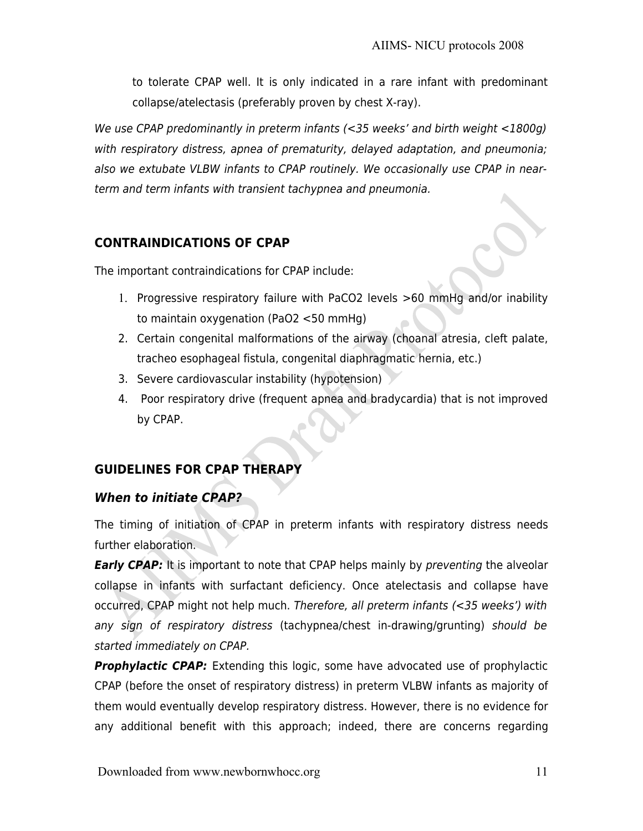to tolerate CPAP well. It is only indicated in a rare infant with predominant collapse/atelectasis (preferably proven by chest X-ray).

We use CPAP predominantly in preterm infants (<35 weeks' and birth weight <1800g) with respiratory distress, apnea of prematurity, delayed adaptation, and pneumonia; also we extubate VLBW infants to CPAP routinely. We occasionally use CPAP in nearterm and term infants with transient tachypnea and pneumonia.

### **CONTRAINDICATIONS OF CPAP**

The important contraindications for CPAP include:

- 1. Progressive respiratory failure with PaCO2 levels >60 mmHg and/or inability to maintain oxygenation (PaO2 <50 mmHg)
- 2. Certain congenital malformations of the airway (choanal atresia, cleft palate, tracheo esophageal fistula, congenital diaphragmatic hernia, etc.)
- 3. Severe cardiovascular instability (hypotension)
- 4. Poor respiratory drive (frequent apnea and bradycardia) that is not improved by CPAP.

## **GUIDELINES FOR CPAP THERAPY**

### **When to initiate CPAP?**

The timing of initiation of CPAP in preterm infants with respiratory distress needs further elaboration.

**Early CPAP:** It is important to note that CPAP helps mainly by preventing the alveolar collapse in infants with surfactant deficiency. Once atelectasis and collapse have occurred, CPAP might not help much. Therefore, all preterm infants (<35 weeks') with any sign of respiratory distress (tachypnea/chest in-drawing/grunting) should be started immediately on CPAP.

**Prophylactic CPAP:** Extending this logic, some have advocated use of prophylactic CPAP (before the onset of respiratory distress) in preterm VLBW infants as majority of them would eventually develop respiratory distress. However, there is no evidence for any additional benefit with this approach; indeed, there are concerns regarding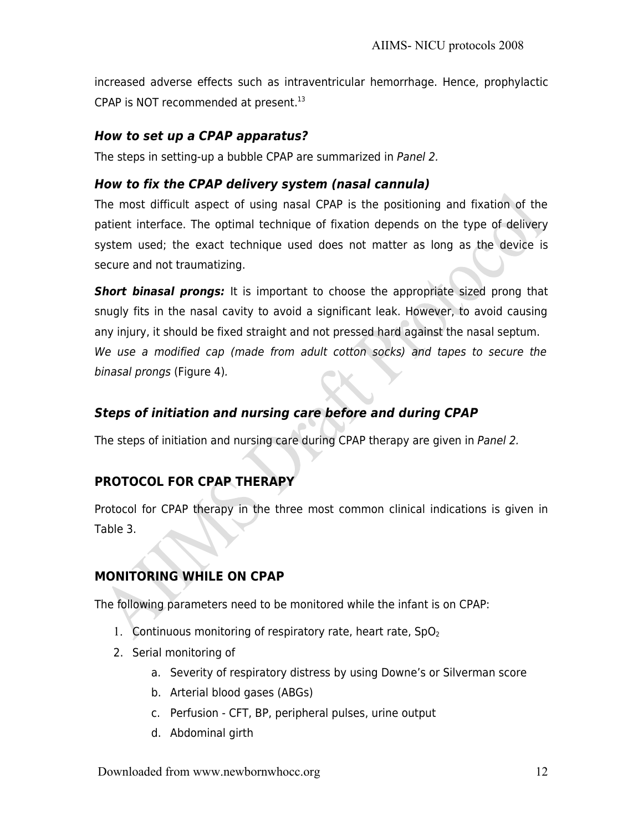increased adverse effects such as intraventricular hemorrhage. Hence, prophylactic CPAP is NOT recommended at present.<sup>13</sup>

### **How to set up a CPAP apparatus?**

The steps in setting-up a bubble CPAP are summarized in Panel 2.

### **How to fix the CPAP delivery system (nasal cannula)**

The most difficult aspect of using nasal CPAP is the positioning and fixation of the patient interface. The optimal technique of fixation depends on the type of delivery system used; the exact technique used does not matter as long as the device is secure and not traumatizing.

**Short binasal prongs:** It is important to choose the appropriate sized prong that snugly fits in the nasal cavity to avoid a significant leak. However, to avoid causing any injury, it should be fixed straight and not pressed hard against the nasal septum. We use a modified cap (made from adult cotton socks) and tapes to secure the binasal prongs (Figure 4).

# **Steps of initiation and nursing care before and during CPAP**

The steps of initiation and nursing care during CPAP therapy are given in Panel 2.

## **PROTOCOL FOR CPAP THERAPY**

Protocol for CPAP therapy in the three most common clinical indications is given in Table 3.

# **MONITORING WHILE ON CPAP**

The following parameters need to be monitored while the infant is on CPAP:

- 1. Continuous monitoring of respiratory rate, heart rate,  $SpO<sub>2</sub>$
- 2. Serial monitoring of
	- a. Severity of respiratory distress by using Downe's or Silverman score
	- b. Arterial blood gases (ABGs)
	- c. Perfusion CFT, BP, peripheral pulses, urine output
	- d. Abdominal girth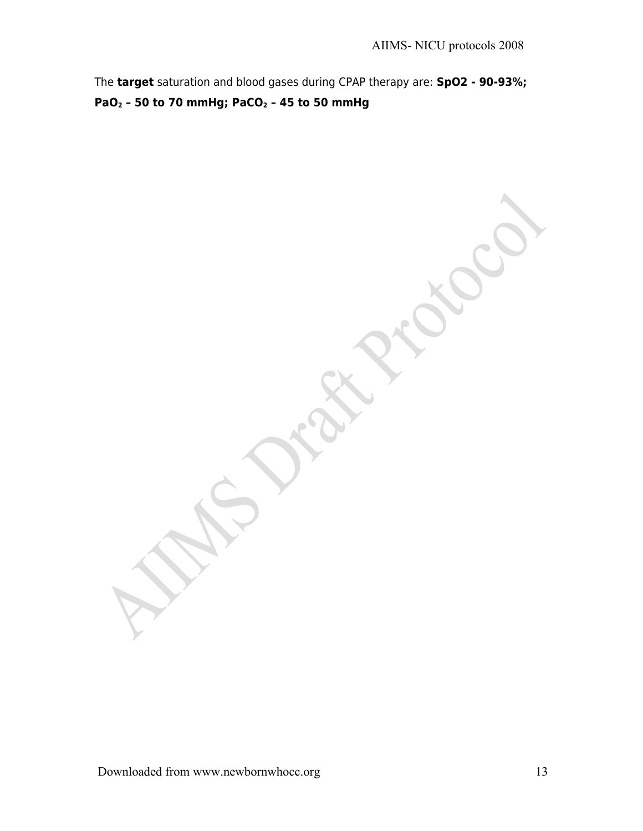The **target** saturation and blood gases during CPAP therapy are: **SpO2 - 90-93%; PaO2 – 50 to 70 mmHg; PaCO2 – 45 to 50 mmHg**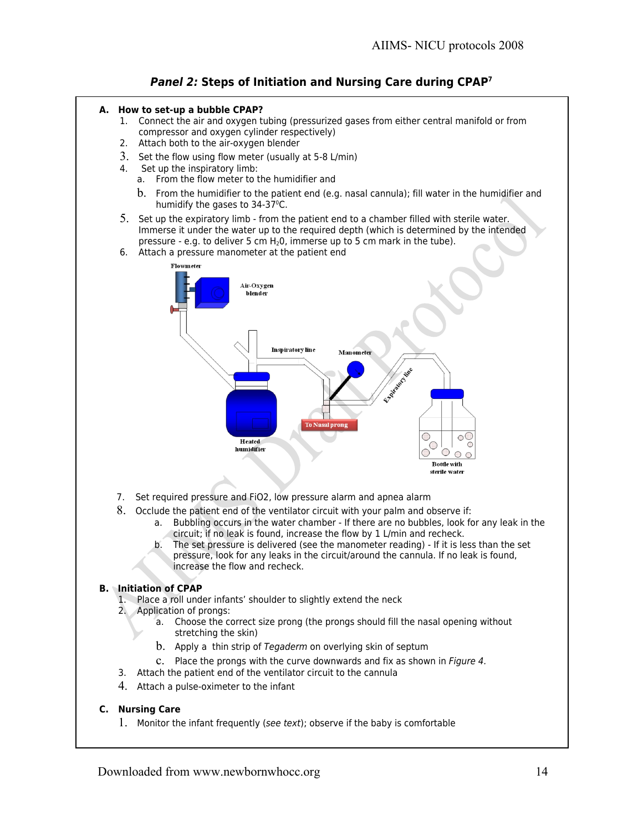

- **A. How to set-up a bubble CPAP?**
	- 1. Connect the air and oxygen tubing (pressurized gases from either central manifold or from compressor and oxygen cylinder respectively)
	- 2. Attach both to the air-oxygen blender
	- 3. Set the flow using flow meter (usually at 5-8 L/min)
	- 4. Set up the inspiratory limb:
		- a. From the flow meter to the humidifier and
		- b. From the humidifier to the patient end (e.g. nasal cannula); fill water in the humidifier and humidify the gases to  $34-37^{\circ}$ C.
	- 5. Set up the expiratory limb from the patient end to a chamber filled with sterile water. Immerse it under the water up to the required depth (which is determined by the intended pressure - e.g. to deliver 5 cm  $H_2O$ , immerse up to 5 cm mark in the tube).
	- 6. Attach a pressure manometer at the patient end



- 7. Set required pressure and FiO2, low pressure alarm and apnea alarm
- 8. Occlude the patient end of the ventilator circuit with your palm and observe if:
	- a. Bubbling occurs in the water chamber If there are no bubbles, look for any leak in the circuit; if no leak is found, increase the flow by 1 L/min and recheck.
	- b. The set pressure is delivered (see the manometer reading) If it is less than the set pressure, look for any leaks in the circuit/around the cannula. If no leak is found, increase the flow and recheck.

#### **B. Initiation of CPAP**

- 1. Place a roll under infants' shoulder to slightly extend the neck
- 2. Application of prongs:
	- a. Choose the correct size prong (the prongs should fill the nasal opening without stretching the skin)
	- b. Apply a thin strip of Tegaderm on overlying skin of septum
	- c. Place the prongs with the curve downwards and fix as shown in Figure 4.
- 3. Attach the patient end of the ventilator circuit to the cannula
- 4. Attach a pulse-oximeter to the infant

#### **C. Nursing Care**

1. Monitor the infant frequently (see text); observe if the baby is comfortable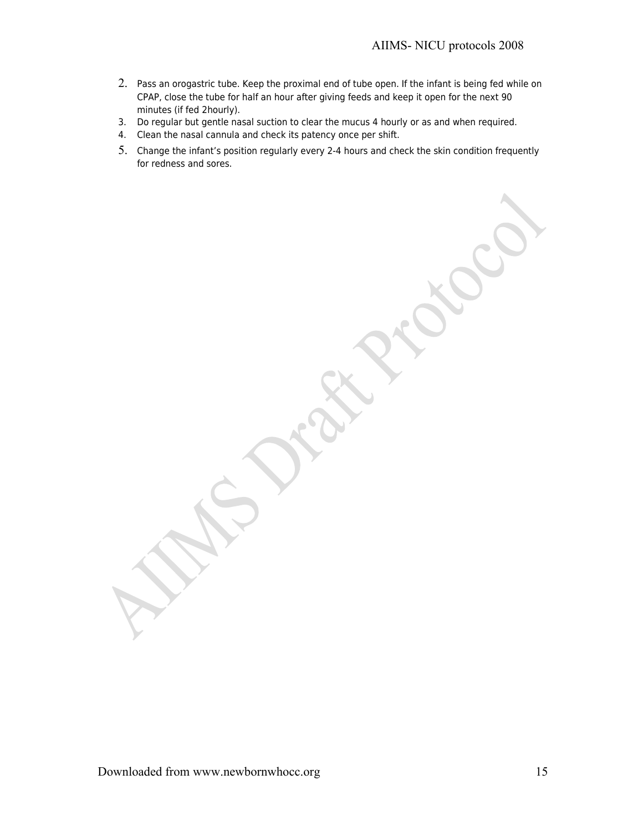- 2. Pass an orogastric tube. Keep the proximal end of tube open. If the infant is being fed while on CPAP, close the tube for half an hour after giving feeds and keep it open for the next 90 minutes (if fed 2hourly).
- 3. Do regular but gentle nasal suction to clear the mucus 4 hourly or as and when required.
- 4. Clean the nasal cannula and check its patency once per shift.
- 5. Change the infant's position regularly every 2-4 hours and check the skin condition frequently for redness and sores.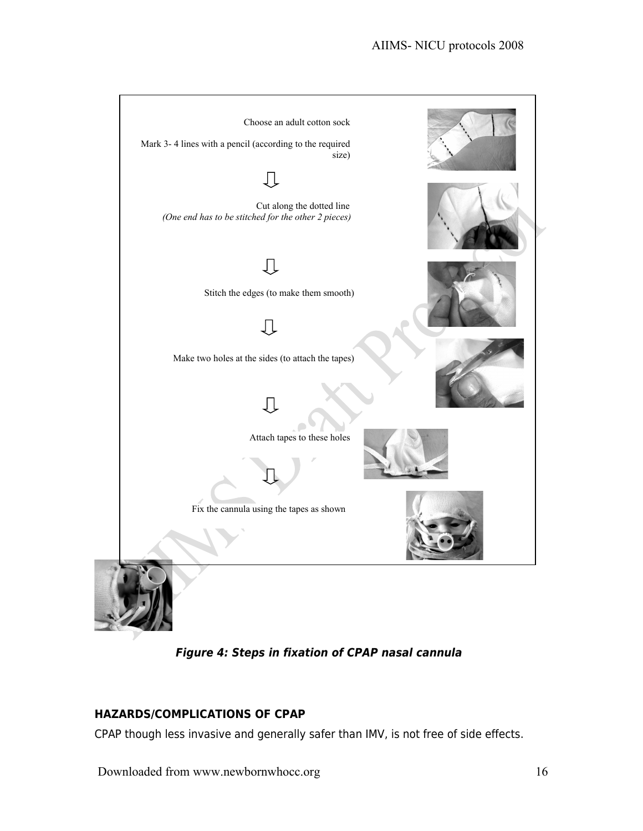

**Figure 4: Steps in fixation of CPAP nasal cannula** 

### **HAZARDS/COMPLICATIONS OF CPAP**

CPAP though less invasive and generally safer than IMV, is not free of side effects.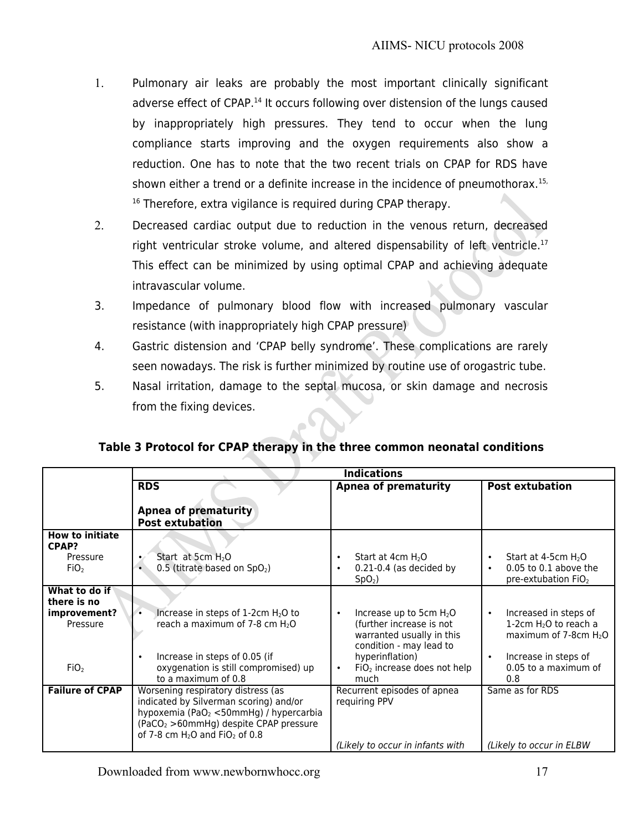- 1. Pulmonary air leaks are probably the most important clinically significant adverse effect of CPAP.<sup>14</sup> It occurs following over distension of the lungs caused by inappropriately high pressures. They tend to occur when the lung compliance starts improving and the oxygen requirements also show a reduction. One has to note that the two recent trials on CPAP for RDS have shown either a trend or a definite increase in the incidence of pneumothorax.<sup>15,</sup> <sup>16</sup> Therefore, extra vigilance is required during CPAP therapy.
- 2. Decreased cardiac output due to reduction in the venous return, decreased right ventricular stroke volume, and altered dispensability of left ventricle.<sup>17</sup> This effect can be minimized by using optimal CPAP and achieving adequate intravascular volume.
- 3. Impedance of pulmonary blood flow with increased pulmonary vascular resistance (with inappropriately high CPAP pressure)
- 4. Gastric distension and 'CPAP belly syndrome'. These complications are rarely seen nowadays. The risk is further minimized by routine use of orogastric tube.
- 5. Nasal irritation, damage to the septal mucosa, or skin damage and necrosis from the fixing devices.

### **Table 3 Protocol for CPAP therapy in the three common neonatal conditions**

|                                                                              | <b>Indications</b>                                                                                                                                                                                                                      |                                                                                                                                                                                        |                                                                                                                                                              |  |
|------------------------------------------------------------------------------|-----------------------------------------------------------------------------------------------------------------------------------------------------------------------------------------------------------------------------------------|----------------------------------------------------------------------------------------------------------------------------------------------------------------------------------------|--------------------------------------------------------------------------------------------------------------------------------------------------------------|--|
|                                                                              | <b>RDS</b>                                                                                                                                                                                                                              | <b>Apnea of prematurity</b>                                                                                                                                                            | <b>Post extubation</b>                                                                                                                                       |  |
|                                                                              | <b>Apnea of prematurity</b><br><b>Post extubation</b>                                                                                                                                                                                   |                                                                                                                                                                                        |                                                                                                                                                              |  |
| <b>How to initiate</b><br>CPAP?<br>Pressure<br>FiO <sub>2</sub>              | Start at 5cm $H_2O$<br>0.5 (titrate based on $SpO2$ )<br>$\bullet$                                                                                                                                                                      | Start at $4cm$ H <sub>2</sub> O<br>$0.21 - 0.4$ (as decided by<br>SpO <sub>2</sub>                                                                                                     | Start at 4-5cm $H_2O$<br>$\bullet$<br>$0.05$ to 0.1 above the<br>$\bullet$<br>pre-extubation FiO <sub>2</sub>                                                |  |
| What to do if<br>there is no<br>improvement?<br>Pressure<br>FiO <sub>2</sub> | Increase in steps of $1-2$ cm $H_2O$ to<br>$\bullet$<br>reach a maximum of 7-8 cm $H_2O$<br>Increase in steps of 0.05 (if<br>oxygenation is still compromised) up<br>to a maximum of 0.8                                                | Increase up to 5cm $H_2O$<br>$\bullet$<br>(further increase is not<br>warranted usually in this<br>condition - may lead to<br>hyperinflation)<br>$FiO2$ increase does not help<br>much | Increased in steps of<br>$\bullet$<br>1-2cm $H_2O$ to reach a<br>maximum of 7-8cm $H_2O$<br>Increase in steps of<br>$\bullet$<br>0.05 to a maximum of<br>0.8 |  |
| <b>Failure of CPAP</b>                                                       | Worsening respiratory distress (as<br>indicated by Silverman scoring) and/or<br>hypoxemia (PaO <sub>2</sub> < 50mmHg) / hypercarbia<br>(PaCO <sub>2</sub> >60mmHg) despite CPAP pressure<br>of 7-8 cm $H2O$ and FiO <sub>2</sub> of 0.8 | Recurrent episodes of apnea<br>requiring PPV<br>(Likely to occur in infants with                                                                                                       | Same as for RDS<br>(Likely to occur in ELBW                                                                                                                  |  |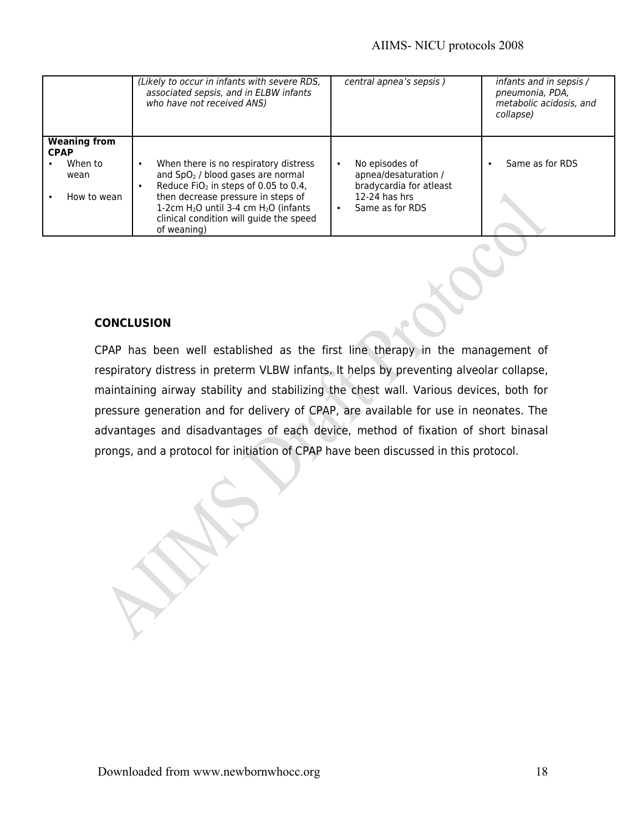#### AIIMS- NICU protocols 2008

|                                                                      | (Likely to occur in infants with severe RDS,<br>associated sepsis, and in ELBW infants<br>who have not received ANS)                                                                                                                                                                    | central apnea's sepsis)                                                                                                           | infants and in sepsis /<br>pneumonia, PDA,<br>metabolic acidosis, and<br>collapse) |
|----------------------------------------------------------------------|-----------------------------------------------------------------------------------------------------------------------------------------------------------------------------------------------------------------------------------------------------------------------------------------|-----------------------------------------------------------------------------------------------------------------------------------|------------------------------------------------------------------------------------|
| <b>Weaning from</b><br><b>CPAP</b><br>When to<br>wean<br>How to wean | When there is no respiratory distress<br>and SpO <sub>2</sub> / blood gases are normal<br>Reduce FiO <sub>2</sub> in steps of 0.05 to 0.4,<br>then decrease pressure in steps of<br>1-2cm $H_2O$ until 3-4 cm $H_2O$ (infants<br>clinical condition will guide the speed<br>of weaning) | No episodes of<br>$\bullet$<br>apnea/desaturation /<br>bradycardia for atleast<br>$12-24$ has hrs<br>Same as for RDS<br>$\bullet$ | Same as for RDS                                                                    |

#### **CONCLUSION**

CPAP has been well established as the first line therapy in the management of respiratory distress in preterm VLBW infants. It helps by preventing alveolar collapse, maintaining airway stability and stabilizing the chest wall. Various devices, both for pressure generation and for delivery of CPAP, are available for use in neonates. The advantages and disadvantages of each device, method of fixation of short binasal prongs, and a protocol for initiation of CPAP have been discussed in this protocol.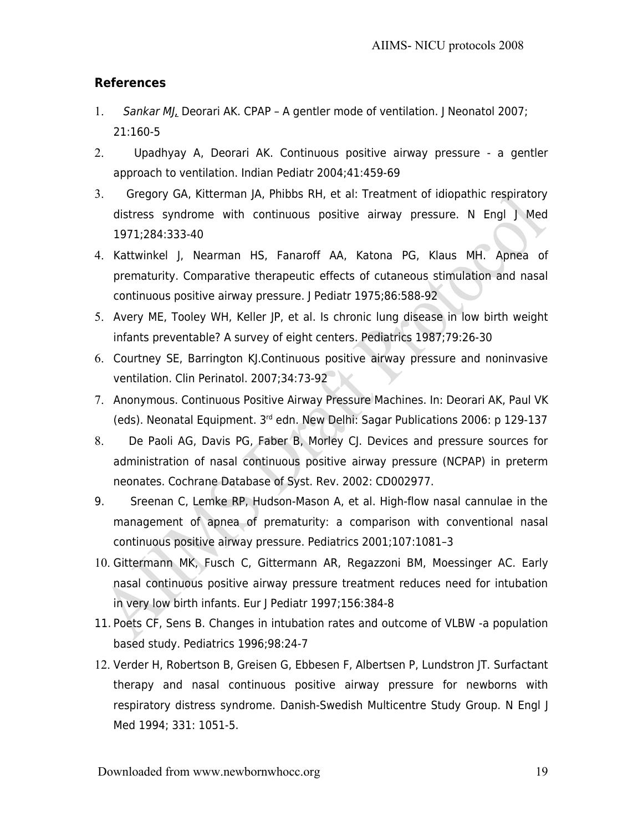### **References**

- 1. Sankar MJ, Deorari AK. CPAP A gentler mode of ventilation. J Neonatol 2007; 21:160-5
- 2. Upadhyay A, Deorari AK. Continuous positive airway pressure a gentler approach to ventilation. Indian Pediatr 2004;41:459-69
- 3. Gregory GA, Kitterman JA, Phibbs RH, et al: Treatment of idiopathic respiratory distress syndrome with continuous positive airway pressure. N Engl J Med 1971;284:333-40
- 4. Kattwinkel J, Nearman HS, Fanaroff AA, Katona PG, Klaus MH. Apnea of prematurity. Comparative therapeutic effects of cutaneous stimulation and nasal continuous positive airway pressure. J Pediatr 1975;86:588-92
- 5. Avery ME, Tooley WH, Keller JP, et al. Is chronic lung disease in low birth weight infants preventable? A survey of eight centers. Pediatrics 1987;79:26-30
- 6. Courtney SE, Barrington KJ.Continuous positive airway pressure and noninvasive ventilation. Clin Perinatol. 2007;34:73-92
- 7. Anonymous. Continuous Positive Airway Pressure Machines. In: Deorari AK, Paul VK (eds). Neonatal Equipment. 3rd edn. New Delhi: Sagar Publications 2006: p 129-137
- 8. De Paoli AG, Davis PG, Faber B, Morley CJ. Devices and pressure sources for administration of nasal continuous positive airway pressure (NCPAP) in preterm neonates. Cochrane Database of Syst. Rev. 2002: CD002977.
- 9. Sreenan C, Lemke RP, Hudson-Mason A, et al. High-flow nasal cannulae in the management of apnea of prematurity: a comparison with conventional nasal continuous positive airway pressure. Pediatrics 2001;107:1081–3
- 10. Gittermann MK, Fusch C, Gittermann AR, Regazzoni BM, Moessinger AC. Early nasal continuous positive airway pressure treatment reduces need for intubation in very low birth infants. Eur J Pediatr 1997;156:384-8
- 11. Poets CF, Sens B. Changes in intubation rates and outcome of VLBW -a population based study. Pediatrics 1996;98:24-7
- 12. Verder H, Robertson B, Greisen G, Ebbesen F, Albertsen P, Lundstron JT. Surfactant therapy and nasal continuous positive airway pressure for newborns with respiratory distress syndrome. Danish-Swedish Multicentre Study Group. N Engl J Med 1994; 331: 1051-5.